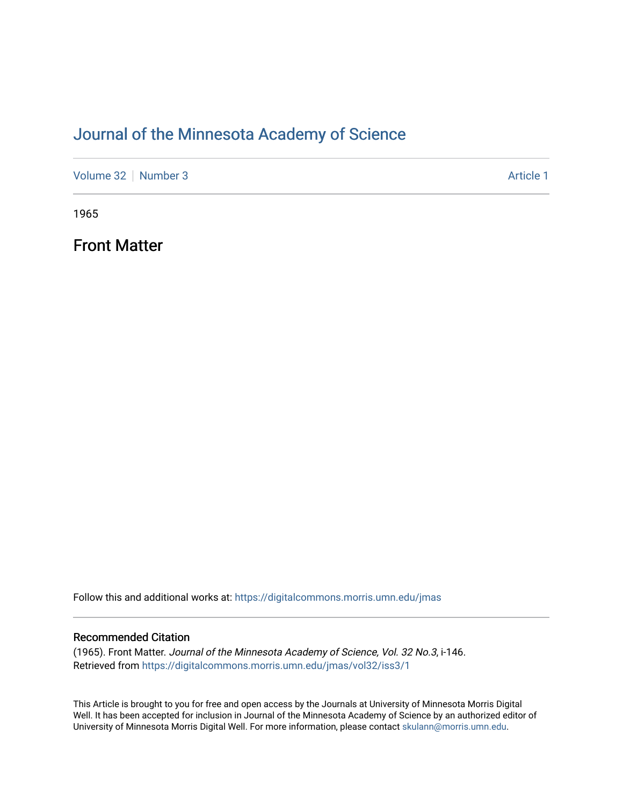### [Journal of the Minnesota Academy of Science](https://digitalcommons.morris.umn.edu/jmas)

[Volume 32](https://digitalcommons.morris.umn.edu/jmas/vol32) [Number 3](https://digitalcommons.morris.umn.edu/jmas/vol32/iss3) Article 1

1965

Front Matter

Follow this and additional works at: [https://digitalcommons.morris.umn.edu/jmas](https://digitalcommons.morris.umn.edu/jmas?utm_source=digitalcommons.morris.umn.edu%2Fjmas%2Fvol32%2Fiss3%2F1&utm_medium=PDF&utm_campaign=PDFCoverPages) 

#### Recommended Citation

(1965). Front Matter. Journal of the Minnesota Academy of Science, Vol. 32 No.3, i-146. Retrieved from [https://digitalcommons.morris.umn.edu/jmas/vol32/iss3/1](https://digitalcommons.morris.umn.edu/jmas/vol32/iss3/1?utm_source=digitalcommons.morris.umn.edu%2Fjmas%2Fvol32%2Fiss3%2F1&utm_medium=PDF&utm_campaign=PDFCoverPages)

This Article is brought to you for free and open access by the Journals at University of Minnesota Morris Digital Well. It has been accepted for inclusion in Journal of the Minnesota Academy of Science by an authorized editor of University of Minnesota Morris Digital Well. For more information, please contact [skulann@morris.umn.edu](mailto:skulann@morris.umn.edu).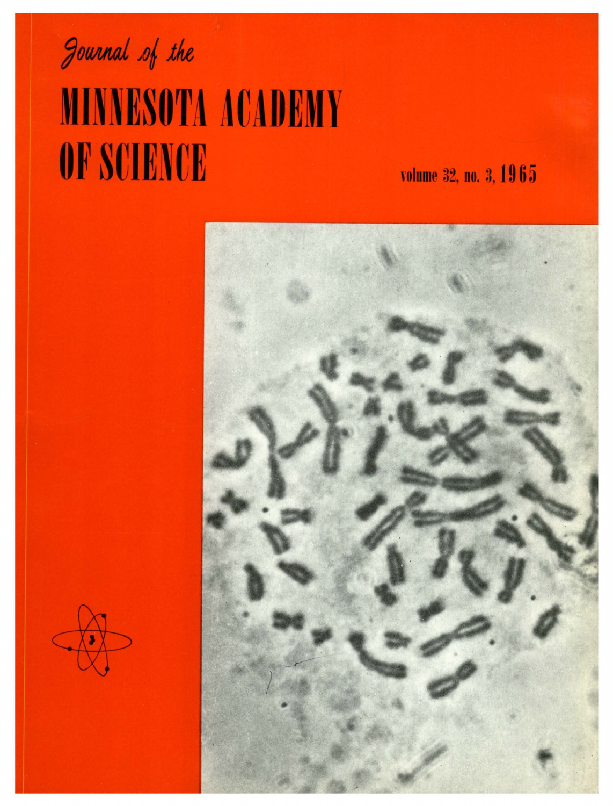

# **MINNESOTA ACADEMY** OF SCIENCE

volume 32, no. 3, 1965

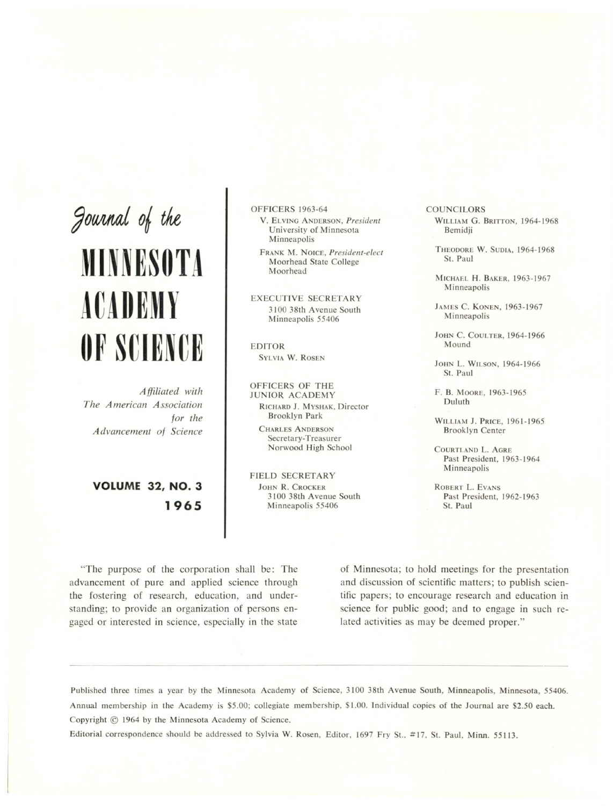Journal of the

## **MINNESOTA ACADEMY OF SCIENCE**

*Affiliated with The American Association for the Advancement of Science* 

**VOLUME 32, NO. 3 1965** 

OFFICERS 1963-64

- V. ELY! GA DERSON, *President*  University of Minnesota Minneapolis
- FRANK M. NOICE, President-elect Moorhead State College Moorhead

EXECUTIVE SECRETARY 3100 38th Avenue South Minneapolis 55406

EDITOR SYLVIA W. ROSE

OFFICERS OF THE JUNIOR. ACADEMY RICHARD J. MYSHAK, Director Brooklyn Park

CHARLES ANDERSON Secretary-Treasurer Norwood High School

FIELD SECRETARY JOHN R. CROCKER 3100 38th Avenue South Minneapolis 55406

**COUNCILORS** WILLIAM G. BRITTON, 1964-1968 Bemidji

THEODORE W. SUDIA, 1964-1968 St. Paul

MICHAEL H. BAKER, 1963-1967 Minneapolis

JAMES C. KONEN, 1963-1967 Minneapolis

JOHN C. COULTER, 1964-1966 Mound

JOHN L. WILSON, 1964-1966 St. Paul

F. B. MOORE, 1963-1965 Duluth

WILLIAM J. PRICE, 1961-1965 Brooklyn Center

COURTLAND L. AGRE Past President, 1963-1964 **Minneapolis** 

ROBERT L. EVANS Past President, 1962- 1963 St. Paul

"The purpose of the corporation shall be: The advancement of pure and applied science through the fostering of research, education, and understanding; to provide an organization of persons engaged or interested in science, especially in the state

-- -- ----------------

of Minnesota; to hold meetings for the presentation and discussion of scientific matters; to publish scientific papers; to encourage research and education in science for public good; and to engage in such related activities as may be deemed proper."

Published three times a year by the Minnesota Academy of Science, 3100 38th Avenue South, Minneapolis, Minnesota, 55406. Annual membership in the Academy is \$5.00; collegiate membership, \$1.00. Individual copies of the Journal are \$2.50 each. Copyright © 1964 by the Minnesota Academy of Science.

Editorial correspondence should be addressed to Sylvia W. Rosen, Editor, 1697 Fry St., #17, St. Paul, Minn. 55113.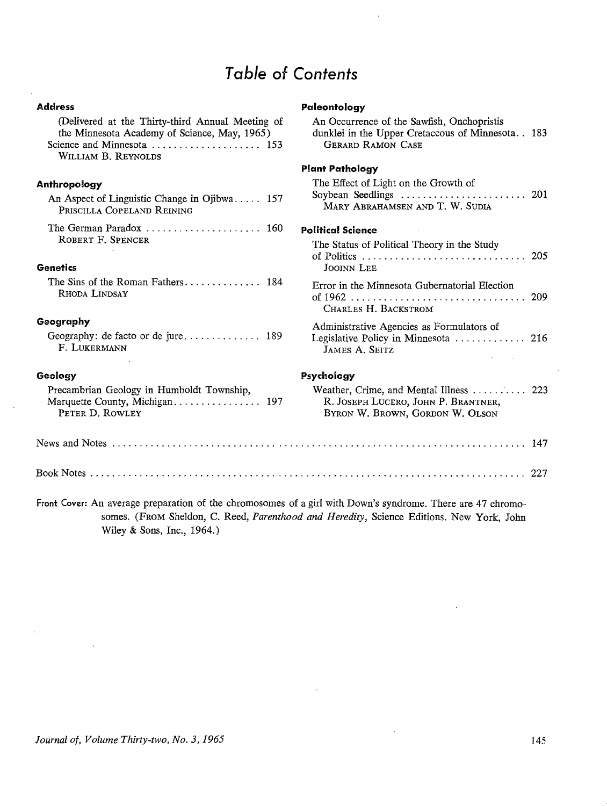### Table of Contents

**Paleontology** 

| (Delivered at the Thirty-third Annual Meeting of<br>the Minnesota Academy of Science, May, 1965)<br>WILLIAM B. REYNOLDS | An Occurrence of the Sawfish, Onchopristis<br>dunklei in the Upper Cretaceous of Minnesota 183<br><b>GERARD RAMON CASE</b> |
|-------------------------------------------------------------------------------------------------------------------------|----------------------------------------------------------------------------------------------------------------------------|
|                                                                                                                         | <b>Plant Pathology</b>                                                                                                     |
| Anthropology<br>An Aspect of Linguistic Change in Ojibwa 157<br>PRISCILLA COPELAND REINING                              | The Effect of Light on the Growth of<br>MARY ABRAHAMSEN AND T. W. SUDIA                                                    |
| The German Paradox $\ldots \ldots \ldots \ldots \ldots \ldots \ldots$ 160                                               | <b>Political Science</b>                                                                                                   |
| ROBERT F. SPENCER<br><b>Genetics</b>                                                                                    | The Status of Political Theory in the Study<br><b>JOOINN LEE</b>                                                           |
| RHODA LINDSAY                                                                                                           | Error in the Minnesota Gubernatorial Election<br>CHARLES H. BACKSTROM                                                      |
| Geography<br>F. LUKERMANN                                                                                               | Administrative Agencies as Formulators of<br>Legislative Policy in Minnesota  216<br>JAMES A. SEITZ                        |
| Geology                                                                                                                 | Psychology                                                                                                                 |
| Precambrian Geology in Humboldt Township,<br>PETER D. ROWLEY                                                            | Weather, Crime, and Mental Illness  223<br>R. JOSEPH LUCERO, JOHN P. BRANTNER,<br>BYRON W. BROWN, GORDON W. OLSON          |
|                                                                                                                         |                                                                                                                            |
|                                                                                                                         |                                                                                                                            |
| Front Cover: An average preparation of the chromosomes of a girl with Down's syndrome. There are 47 chromo-             |                                                                                                                            |

somes. (FROM Sheldon, C. Reed, *Parenthood and Heredity,* Science Editions. New York, John Wiley & Sons, Inc., 1964.)

**Address** 

 $\mathbf{r}$